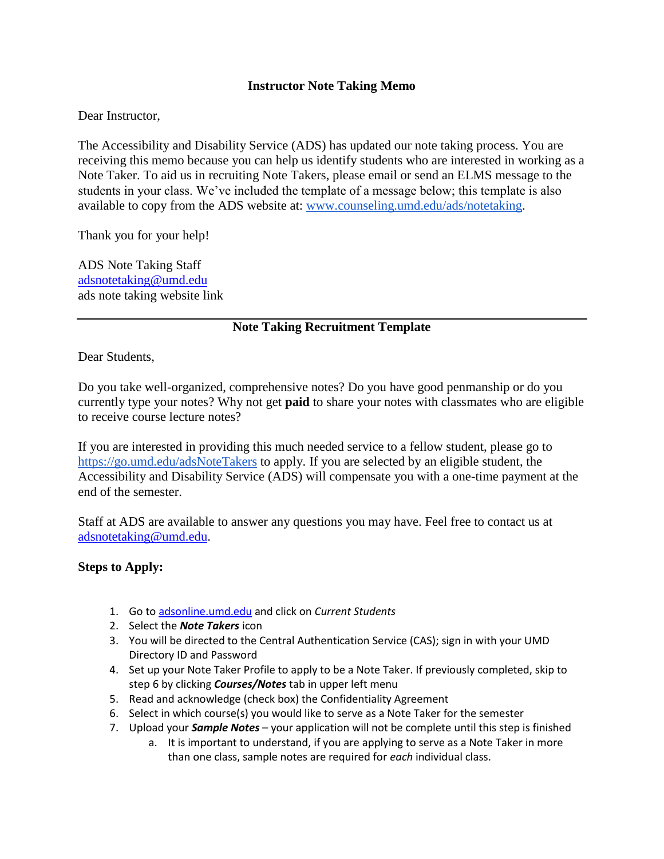## **Instructor Note Taking Memo**

Dear Instructor,

The Accessibility and Disability Service (ADS) has updated our note taking process. You are receiving this memo because you can help us identify students who are interested in working as a Note Taker. To aid us in recruiting Note Takers, please email or send an ELMS message to the students in your class. We've included the template of a message below; this template is also available to copy from the ADS website at: [www.counseling.umd.edu/ads/notetaking.](http://www.counseling.umd.edu/ads/notetaking)

Thank you for your help!

ADS Note Taking Staff [adsnotetaking@umd.edu](mailto:adsnotetaking@umd.edu) ads note taking website link

## **Note Taking Recruitment Template**

Dear Students,

Do you take well-organized, comprehensive notes? Do you have good penmanship or do you currently type your notes? Why not get **paid** to share your notes with classmates who are eligible to receive course lecture notes?

If you are interested in providing this much needed service to a fellow student, please go to <https://go.umd.edu/adsNoteTakers> to apply. If you are selected by an eligible student, the Accessibility and Disability Service (ADS) will compensate you with a one-time payment at the end of the semester.

Staff at ADS are available to answer any questions you may have. Feel free to contact us at [adsnotetaking@umd.edu.](mailto:adsnotetaking@umd.edu)

## **Steps to Apply:**

- 1. Go to [adsonline.umd.edu](http://adsonline.umd.edu/) and click on *Current Students*
- 2. Select the *Note Takers* icon
- 3. You will be directed to the Central Authentication Service (CAS); sign in with your UMD Directory ID and Password
- 4. Set up your Note Taker Profile to apply to be a Note Taker. If previously completed, skip to step 6 by clicking *Courses/Notes* tab in upper left menu
- 5. Read and acknowledge (check box) the Confidentiality Agreement
- 6. Select in which course(s) you would like to serve as a Note Taker for the semester
- 7. Upload your *Sample Notes* your application will not be complete until this step is finished
	- a. It is important to understand, if you are applying to serve as a Note Taker in more than one class, sample notes are required for *each* individual class.